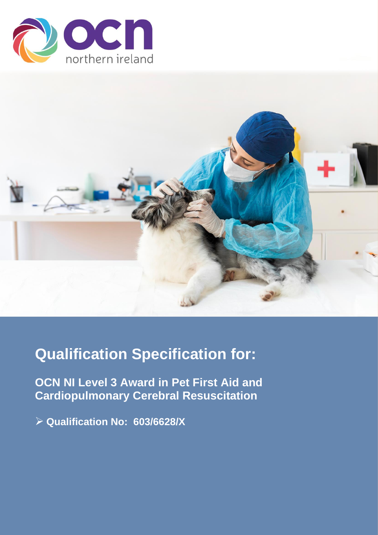



# **Qualification Specification for:**

**OCN NI Level 3 Award in Pet First Aid and Cardiopulmonary Cerebral Resuscitation**

➢ **Qualification No: 603/6628/X**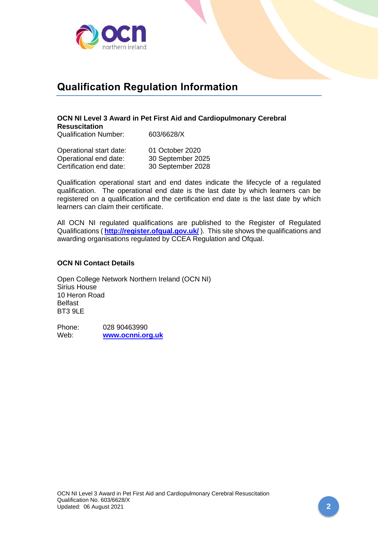

## **Qualification Regulation Information**

## **OCN NI Level 3 Award in Pet First Aid and Cardiopulmonary Cerebral Resuscitation**

Qualification Number: 603/6628/X

| Operational start date: | 01 October 2020   |
|-------------------------|-------------------|
| Operational end date:   | 30 September 2025 |
| Certification end date: | 30 September 2028 |

Qualification operational start and end dates indicate the lifecycle of a regulated qualification. The operational end date is the last date by which learners can be registered on a qualification and the certification end date is the last date by which learners can claim their certificate.

All OCN NI regulated qualifications are published to the Register of Regulated Qualifications ( **<http://register.ofqual.gov.uk/>** ). This site shows the qualifications and awarding organisations regulated by CCEA Regulation and Ofqual.

#### **OCN NI Contact Details**

Open College Network Northern Ireland (OCN NI) Sirius House 10 Heron Road Belfast BT3 9LE

Phone: 028 90463990 Web: **[www.ocnni.org.uk](http://www.ocnni.org.uk/)**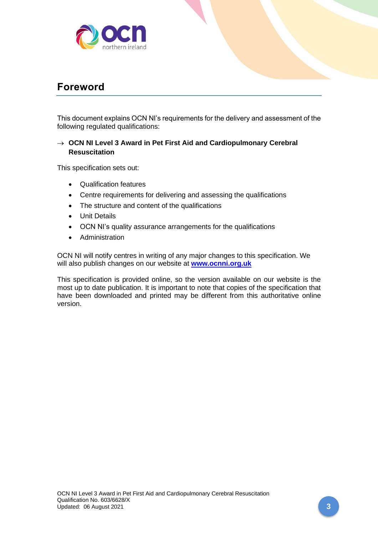

## **Foreword**

This document explains OCN NI's requirements for the delivery and assessment of the following regulated qualifications:

## → **OCN NI Level 3 Award in Pet First Aid and Cardiopulmonary Cerebral Resuscitation**

This specification sets out:

- Qualification features
- Centre requirements for delivering and assessing the qualifications
- The structure and content of the qualifications
- Unit Details
- OCN NI's quality assurance arrangements for the qualifications
- Administration

OCN NI will notify centres in writing of any major changes to this specification. We will also publish changes on our website at **[www.ocnni.org.uk](http://www.ocnni.org.uk/)**

This specification is provided online, so the version available on our website is the most up to date publication. It is important to note that copies of the specification that have been downloaded and printed may be different from this authoritative online version.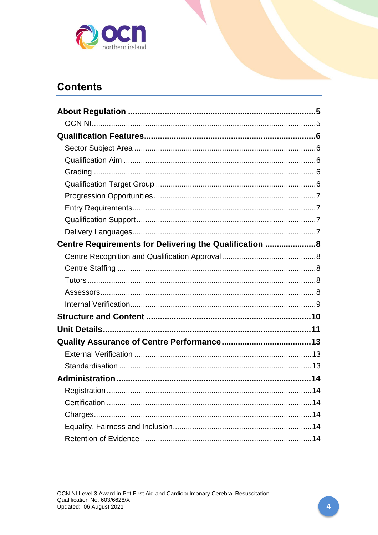

## **Contents**

| Centre Requirements for Delivering the Qualification 8 |     |
|--------------------------------------------------------|-----|
|                                                        |     |
|                                                        |     |
|                                                        |     |
|                                                        |     |
|                                                        |     |
|                                                        |     |
|                                                        |     |
|                                                        |     |
|                                                        |     |
|                                                        |     |
|                                                        |     |
|                                                        | .14 |
|                                                        |     |
|                                                        |     |
|                                                        |     |
|                                                        |     |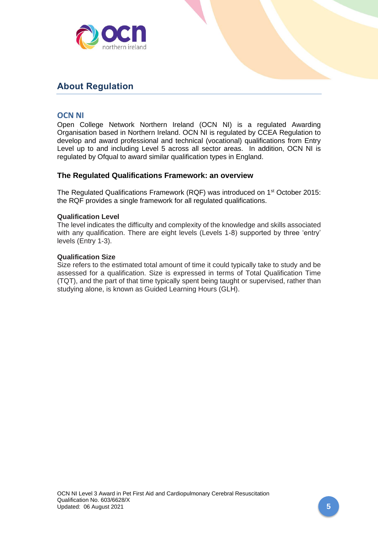

## <span id="page-4-0"></span>**About Regulation**

## <span id="page-4-1"></span>**OCN NI**

Open College Network Northern Ireland (OCN NI) is a regulated Awarding Organisation based in Northern Ireland. OCN NI is regulated by CCEA Regulation to develop and award professional and technical (vocational) qualifications from Entry Level up to and including Level 5 across all sector areas. In addition, OCN NI is regulated by Ofqual to award similar qualification types in England.

### **The Regulated Qualifications Framework: an overview**

The Regulated Qualifications Framework (RQF) was introduced on 1<sup>st</sup> October 2015: the RQF provides a single framework for all regulated qualifications.

#### **Qualification Level**

The level indicates the difficulty and complexity of the knowledge and skills associated with any qualification. There are eight levels (Levels 1-8) supported by three 'entry' levels (Entry 1-3).

#### **Qualification Size**

Size refers to the estimated total amount of time it could typically take to study and be assessed for a qualification. Size is expressed in terms of Total Qualification Time (TQT), and the part of that time typically spent being taught or supervised, rather than studying alone, is known as Guided Learning Hours (GLH).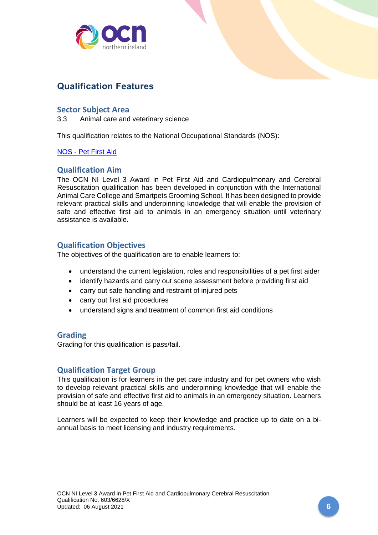

## <span id="page-5-0"></span>**Qualification Features**

### <span id="page-5-1"></span>**Sector Subject Area**

3.3 Animal care and veterinary science

This qualification relates to the National Occupational Standards (NOS):

#### NOS - [Pet First Aid](https://www.ukstandards.org.uk/NOS-Finder#k=provide%20first%20aid%20to%20animals)

#### <span id="page-5-2"></span>**Qualification Aim**

The OCN NI Level 3 Award in Pet First Aid and Cardiopulmonary and Cerebral Resuscitation qualification has been developed in conjunction with the International Animal Care College and Smartpets Grooming School. It has been designed to provide relevant practical skills and underpinning knowledge that will enable the provision of safe and effective first aid to animals in an emergency situation until veterinary assistance is available.

### **Qualification Objectives**

The objectives of the qualification are to enable learners to:

- understand the current legislation, roles and responsibilities of a pet first aider
- identify hazards and carry out scene assessment before providing first aid
- carry out safe handling and restraint of injured pets
- carry out first aid procedures
- understand signs and treatment of common first aid conditions

#### <span id="page-5-3"></span>**Grading**

Grading for this qualification is pass/fail.

#### <span id="page-5-4"></span>**Qualification Target Group**

This qualification is for learners in the pet care industry and for pet owners who wish to develop relevant practical skills and underpinning knowledge that will enable the provision of safe and effective first aid to animals in an emergency situation. Learners should be at least 16 years of age.

Learners will be expected to keep their knowledge and practice up to date on a biannual basis to meet licensing and industry requirements.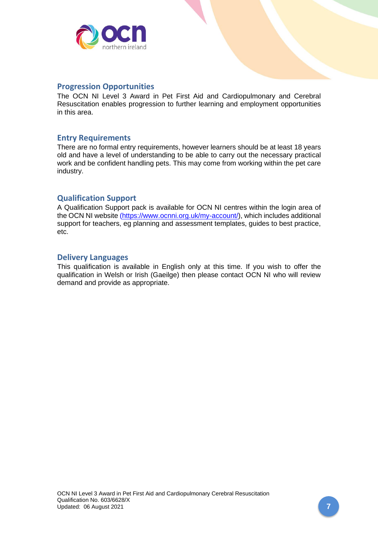

### <span id="page-6-0"></span>**Progression Opportunities**

The OCN NI Level 3 Award in Pet First Aid and Cardiopulmonary and Cerebral Resuscitation enables progression to further learning and employment opportunities in this area.

## <span id="page-6-1"></span>**Entry Requirements**

There are no formal entry requirements, however learners should be at least 18 years old and have a level of understanding to be able to carry out the necessary practical work and be confident handling pets. This may come from working within the pet care industry.

## <span id="page-6-2"></span>**Qualification Support**

A Qualification Support pack is available for OCN NI centres within the login area of the OCN NI website [\(https://www.ocnni.org.uk/my-account/\)](https://www.ocnni.org.uk/my-account/), which includes additional support for teachers, eg planning and assessment templates, guides to best practice, etc.

#### <span id="page-6-3"></span>**Delivery Languages**

This qualification is available in English only at this time. If you wish to offer the qualification in Welsh or Irish (Gaeilge) then please contact OCN NI who will review demand and provide as appropriate.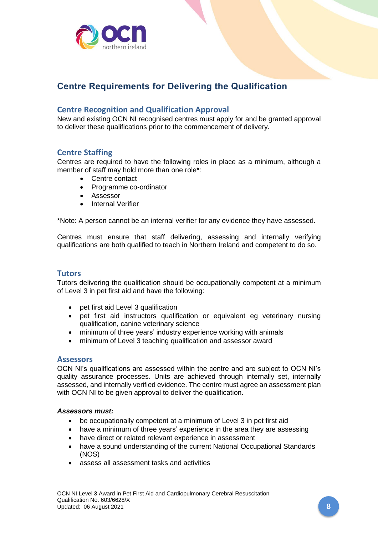

## <span id="page-7-0"></span>**Centre Requirements for Delivering the Qualification**

## <span id="page-7-1"></span>**Centre Recognition and Qualification Approval**

New and existing OCN NI recognised centres must apply for and be granted approval to deliver these qualifications prior to the commencement of delivery.

## <span id="page-7-2"></span>**Centre Staffing**

Centres are required to have the following roles in place as a minimum, although a member of staff may hold more than one role\*:

- Centre contact
- Programme co-ordinator
- Assessor
- Internal Verifier

\*Note: A person cannot be an internal verifier for any evidence they have assessed.

Centres must ensure that staff delivering, assessing and internally verifying qualifications are both qualified to teach in Northern Ireland and competent to do so.

#### <span id="page-7-3"></span>**Tutors**

Tutors delivering the qualification should be occupationally competent at a minimum of Level 3 in pet first aid and have the following:

- pet first aid Level 3 qualification
- pet first aid instructors qualification or equivalent eg veterinary nursing qualification, canine veterinary science
- minimum of three years' industry experience working with animals
- minimum of Level 3 teaching qualification and assessor award

#### <span id="page-7-4"></span>**Assessors**

OCN NI's qualifications are assessed within the centre and are subject to OCN NI's quality assurance processes. Units are achieved through internally set, internally assessed, and internally verified evidence. The centre must agree an assessment plan with OCN NI to be given approval to deliver the qualification.

#### *Assessors must:*

- be occupationally competent at a minimum of Level 3 in pet first aid
- have a minimum of three years' experience in the area they are assessing
- have direct or related relevant experience in assessment
- have a sound understanding of the current National Occupational Standards (NOS)
- assess all assessment tasks and activities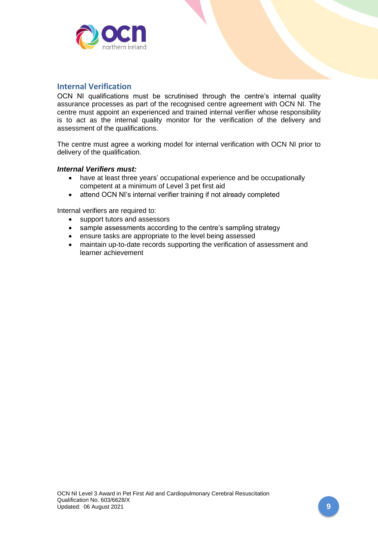

## <span id="page-8-0"></span>**Internal Verification**

OCN NI qualifications must be scrutinised through the centre's internal quality assurance processes as part of the recognised centre agreement with OCN NI. The centre must appoint an experienced and trained internal verifier whose responsibility is to act as the internal quality monitor for the verification of the delivery and assessment of the qualifications.

The centre must agree a working model for internal verification with OCN NI prior to delivery of the qualification.

#### *Internal Verifiers must:*

- have at least three years' occupational experience and be occupationally competent at a minimum of Level 3 pet first aid
- attend OCN NI's internal verifier training if not already completed

Internal verifiers are required to:

- support tutors and assessors
- sample assessments according to the centre's sampling strategy
- ensure tasks are appropriate to the level being assessed
- maintain up-to-date records supporting the verification of assessment and learner achievement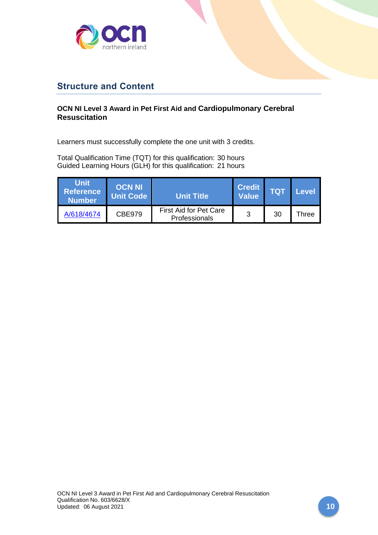

## <span id="page-9-0"></span>**Structure and Content**

## **OCN NI Level 3 Award in Pet First Aid and Cardiopulmonary Cerebral Resuscitation**

Learners must successfully complete the one unit with 3 credits.

Total Qualification Time (TQT) for this qualification: 30 hours Guided Learning Hours (GLH) for this qualification: 21 hours

| <b>Unit</b><br>Reference<br><b>Number</b> | <b>OCN NI</b><br>Unit Code | <b>Unit Title</b>                              | <b>Credit</b><br><b>Value</b> | TQ1 | Level |
|-------------------------------------------|----------------------------|------------------------------------------------|-------------------------------|-----|-------|
| A/618/4674                                | <b>CBE979</b>              | <b>First Aid for Pet Care</b><br>Professionals | 3                             | 30  | Three |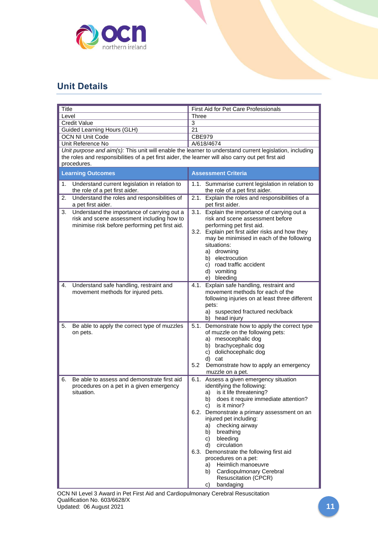

## <span id="page-10-0"></span>**Unit Details**

<span id="page-10-1"></span>

| Title<br>Level                                                                                                                                    | First Aid for Pet Care Professionals                                                                                                                                                                                                                                                                                                                                                                                                                                                                                       |  |  |
|---------------------------------------------------------------------------------------------------------------------------------------------------|----------------------------------------------------------------------------------------------------------------------------------------------------------------------------------------------------------------------------------------------------------------------------------------------------------------------------------------------------------------------------------------------------------------------------------------------------------------------------------------------------------------------------|--|--|
| <b>Credit Value</b>                                                                                                                               | <b>Three</b>                                                                                                                                                                                                                                                                                                                                                                                                                                                                                                               |  |  |
|                                                                                                                                                   | $\overline{3}$                                                                                                                                                                                                                                                                                                                                                                                                                                                                                                             |  |  |
| Guided Learning Hours (GLH)                                                                                                                       | 21                                                                                                                                                                                                                                                                                                                                                                                                                                                                                                                         |  |  |
| <b>OCN NI Unit Code</b>                                                                                                                           | <b>CBE979</b>                                                                                                                                                                                                                                                                                                                                                                                                                                                                                                              |  |  |
| Unit Reference No                                                                                                                                 | A/618/4674                                                                                                                                                                                                                                                                                                                                                                                                                                                                                                                 |  |  |
| Unit purpose and aim(s): This unit will enable the learner to understand current legislation, including                                           |                                                                                                                                                                                                                                                                                                                                                                                                                                                                                                                            |  |  |
| the roles and responsibilities of a pet first aider, the learner will also carry out pet first aid<br>procedures.                                 |                                                                                                                                                                                                                                                                                                                                                                                                                                                                                                                            |  |  |
|                                                                                                                                                   |                                                                                                                                                                                                                                                                                                                                                                                                                                                                                                                            |  |  |
| <b>Learning Outcomes</b>                                                                                                                          | <b>Assessment Criteria</b>                                                                                                                                                                                                                                                                                                                                                                                                                                                                                                 |  |  |
| Understand current legislation in relation to<br>1.<br>the role of a pet first aider.                                                             | 1.1. Summarise current legislation in relation to<br>the role of a pet first aider.                                                                                                                                                                                                                                                                                                                                                                                                                                        |  |  |
| Understand the roles and responsibilities of<br>2.<br>a pet first aider.                                                                          | 2.1. Explain the roles and responsibilities of a<br>pet first aider.                                                                                                                                                                                                                                                                                                                                                                                                                                                       |  |  |
| Understand the importance of carrying out a<br>3.<br>risk and scene assessment including how to<br>minimise risk before performing pet first aid. | 3.1. Explain the importance of carrying out a<br>risk and scene assessment before<br>performing pet first aid.<br>3.2. Explain pet first aider risks and how they<br>may be minimised in each of the following<br>situations:<br>a) drowning<br>b) electrocution<br>c) road traffic accident<br>d) vomiting<br>e) bleeding                                                                                                                                                                                                 |  |  |
| Understand safe handling, restraint and<br>4.<br>movement methods for injured pets.                                                               | 4.1. Explain safe handling, restraint and<br>movement methods for each of the<br>following injuries on at least three different<br>pets:<br>a) suspected fractured neck/back<br>b) head injury                                                                                                                                                                                                                                                                                                                             |  |  |
| Be able to apply the correct type of muzzles<br>5.<br>on pets.                                                                                    | 5.1. Demonstrate how to apply the correct type<br>of muzzle on the following pets:<br>a) mesocephalic dog<br>b) brachycephalic dog<br>c) dolichocephalic dog<br>d) cat<br>5.2<br>Demonstrate how to apply an emergency<br>muzzle on a pet.                                                                                                                                                                                                                                                                                 |  |  |
| Be able to assess and demonstrate first aid<br>6.<br>procedures on a pet in a given emergency<br>situation.                                       | 6.1. Assess a given emergency situation<br>identifying the following:<br>is it life threatening?<br>a)<br>does it require immediate attention?<br>b)<br>is it minor?<br>C)<br>6.2. Demonstrate a primary assessment on an<br>injured pet including:<br>checking airway<br>a)<br>breathing<br>b)<br>bleeding<br>C)<br>circulation<br>d)<br>6.3. Demonstrate the following first aid<br>procedures on a pet:<br>Heimlich manoeuvre<br>a)<br>Cardiopulmonary Cerebral<br>b)<br><b>Resuscitation (CPCR)</b><br>bandaging<br>c) |  |  |

OCN NI Level 3 Award in Pet First Aid and Cardiopulmonary Cerebral Resuscitation Qualification No. 603/6628/X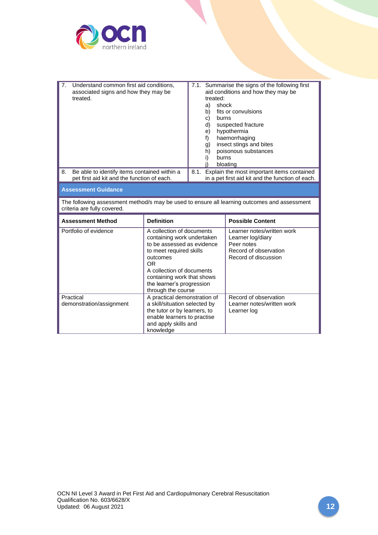

| 7 <sub>1</sub><br>Understand common first aid conditions,<br>associated signs and how they may be<br>treated.               |                                                                                                                                                                                                                                                         | 7.1. Summarise the signs of the following first<br>aid conditions and how they may be<br>treated:<br>shock<br>a)<br>fits or convulsions<br>b)<br>burns<br>c)<br>suspected fracture<br>d)<br>hypothermia<br>e)<br>haemorrhaging<br>f)<br>insect stings and bites<br>g)<br>poisonous substances<br>h)<br>burns<br>i)<br>bloating |                                                                                                                |  |
|-----------------------------------------------------------------------------------------------------------------------------|---------------------------------------------------------------------------------------------------------------------------------------------------------------------------------------------------------------------------------------------------------|--------------------------------------------------------------------------------------------------------------------------------------------------------------------------------------------------------------------------------------------------------------------------------------------------------------------------------|----------------------------------------------------------------------------------------------------------------|--|
| Be able to identify items contained within a<br>8.<br>pet first aid kit and the function of each.                           |                                                                                                                                                                                                                                                         | 8.1.<br>Explain the most important items contained<br>in a pet first aid kit and the function of each.                                                                                                                                                                                                                         |                                                                                                                |  |
| <b>Assessment Guidance</b>                                                                                                  |                                                                                                                                                                                                                                                         |                                                                                                                                                                                                                                                                                                                                |                                                                                                                |  |
| The following assessment method/s may be used to ensure all learning outcomes and assessment<br>criteria are fully covered. |                                                                                                                                                                                                                                                         |                                                                                                                                                                                                                                                                                                                                |                                                                                                                |  |
| <b>Assessment Method</b>                                                                                                    | <b>Definition</b>                                                                                                                                                                                                                                       |                                                                                                                                                                                                                                                                                                                                | <b>Possible Content</b>                                                                                        |  |
| Portfolio of evidence                                                                                                       | A collection of documents<br>containing work undertaken<br>to be assessed as evidence<br>to meet required skills<br>outcomes<br><b>OR</b><br>A collection of documents<br>containing work that shows<br>the learner's progression<br>through the course |                                                                                                                                                                                                                                                                                                                                | Learner notes/written work<br>Learner log/diary<br>Peer notes<br>Record of observation<br>Record of discussion |  |
| Practical<br>demonstration/assignment                                                                                       | A practical demonstration of<br>a skill/situation selected by                                                                                                                                                                                           |                                                                                                                                                                                                                                                                                                                                | Record of observation<br>Learner notes/written work                                                            |  |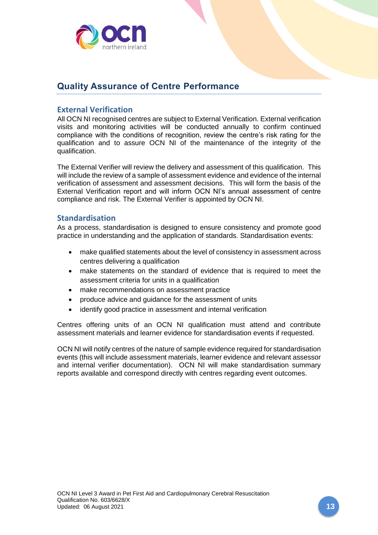

## <span id="page-12-0"></span>**Quality Assurance of Centre Performance**

## <span id="page-12-1"></span>**External Verification**

All OCN NI recognised centres are subject to External Verification. External verification visits and monitoring activities will be conducted annually to confirm continued compliance with the conditions of recognition, review the centre's risk rating for the qualification and to assure OCN NI of the maintenance of the integrity of the qualification.

The External Verifier will review the delivery and assessment of this qualification. This will include the review of a sample of assessment evidence and evidence of the internal verification of assessment and assessment decisions. This will form the basis of the External Verification report and will inform OCN NI's annual assessment of centre compliance and risk. The External Verifier is appointed by OCN NI.

### <span id="page-12-2"></span>**Standardisation**

As a process, standardisation is designed to ensure consistency and promote good practice in understanding and the application of standards. Standardisation events:

- make qualified statements about the level of consistency in assessment across centres delivering a qualification
- make statements on the standard of evidence that is required to meet the assessment criteria for units in a qualification
- make recommendations on assessment practice
- produce advice and guidance for the assessment of units
- identify good practice in assessment and internal verification

Centres offering units of an OCN NI qualification must attend and contribute assessment materials and learner evidence for standardisation events if requested.

OCN NI will notify centres of the nature of sample evidence required for standardisation events (this will include assessment materials, learner evidence and relevant assessor and internal verifier documentation). OCN NI will make standardisation summary reports available and correspond directly with centres regarding event outcomes.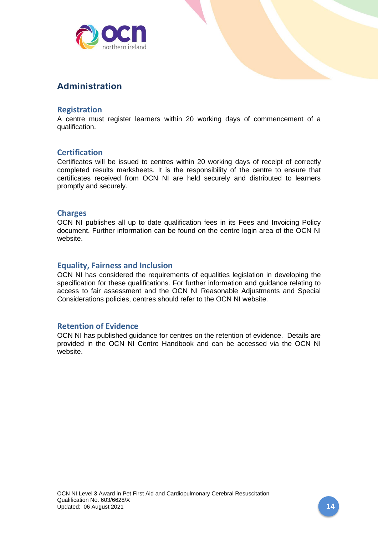

## <span id="page-13-0"></span>**Administration**

### <span id="page-13-1"></span>**Registration**

A centre must register learners within 20 working days of commencement of a qualification.

## <span id="page-13-2"></span>**Certification**

Certificates will be issued to centres within 20 working days of receipt of correctly completed results marksheets. It is the responsibility of the centre to ensure that certificates received from OCN NI are held securely and distributed to learners promptly and securely.

### <span id="page-13-3"></span>**Charges**

OCN NI publishes all up to date qualification fees in its Fees and Invoicing Policy document. Further information can be found on the centre login area of the OCN NI website.

## <span id="page-13-4"></span>**Equality, Fairness and Inclusion**

OCN NI has considered the requirements of equalities legislation in developing the specification for these qualifications. For further information and guidance relating to access to fair assessment and the OCN NI Reasonable Adjustments and Special Considerations policies, centres should refer to the OCN NI website.

### <span id="page-13-5"></span>**Retention of Evidence**

OCN NI has published guidance for centres on the retention of evidence. Details are provided in the OCN NI Centre Handbook and can be accessed via the OCN NI website.